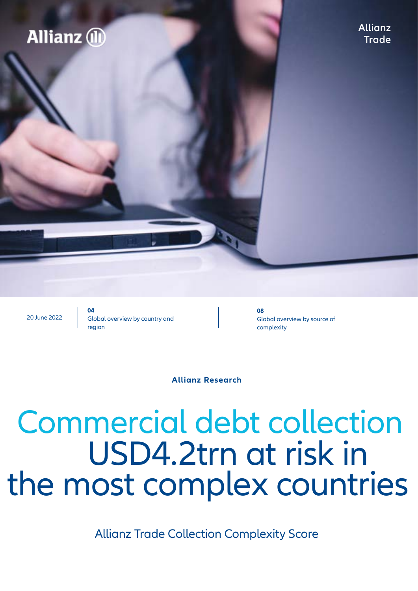## **Allianz** 1

**Allianz Trade**

20 June 2022

**04** Global overview by country and region

**08** Global overview by source of complexity

**Allianz Research**

## USD4.2trn at risk in the most complex countries Commercial debt collection

Allianz Trade Collection Complexity Score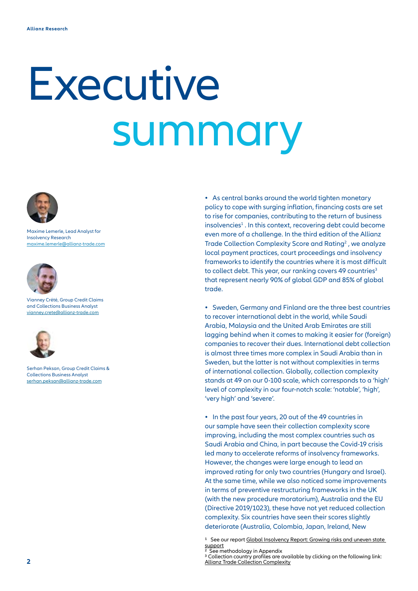# Executive summary



Maxime Lemerle, Lead Analyst for Insolvency Research [maxime.lemerle@allianz-trade.com](mailto:maxime.lemerle%40allianz-trade.com?subject=)



Vianney Crété, Group Credit Claims and Collections Business Analyst via[nney.crete@allianz-trade.com](mailto:vianney.crete%40allianz-trade.com?subject=)



Serhan Peksan, Group Credit Claims & Collections Business Analyst serhan.peksan[@allianz-trade.com](mailto:serhan.peksan%40allianz-trade.com?subject=)

**•** As central banks around the world tighten monetary policy to cope with surging inflation, financing costs are set to rise for companies, contributing to the return of business insolvencies<sup>1</sup>. In this context, recovering debt could become even more of a challenge. In the third edition of the Allianz Trade Collection Complexity Score and Rating<sup>2</sup>, we analyze local payment practices, court proceedings and insolvency frameworks to identify the countries where it is most difficult to collect debt. This year, our ranking covers 49 countries<sup>3</sup> that represent nearly 90% of global GDP and 85% of global trade.

**•** Sweden, Germany and Finland are the three best countries to recover international debt in the world, while Saudi Arabia, Malaysia and the United Arab Emirates are still lagging behind when it comes to making it easier for (foreign) companies to recover their dues. International debt collection is almost three times more complex in Saudi Arabia than in Sweden, but the latter is not without complexities in terms of international collection. Globally, collection complexity stands at 49 on our 0-100 scale, which corresponds to a 'high' level of complexity in our four-notch scale: 'notable', 'high', 'very high' and 'severe'.

**•** In the past four years, 20 out of the 49 countries in our sample have seen their collection complexity score improving, including the most complex countries such as Saudi Arabia and China, in part because the Covid-19 crisis led many to accelerate reforms of insolvency frameworks. However, the changes were large enough to lead an improved rating for only two countries (Hungary and Israel). At the same time, while we also noticed some improvements in terms of preventive restructuring frameworks in the UK (with the new procedure moratorium), Australia and the EU (Directive 2019/1023), these have not yet reduced collection complexity. Six countries have seen their scores slightly deteriorate (Australia, Colombia, Japan, Ireland, New

<sup>1</sup> See our report Global Insolvency Report: Growing risks and uneven state [support](https://www.allianz.com/en/economic_research/publications/specials_fmo/allianz-trade-insolvency-report.html)<br><sup>2</sup> See methodology in Appendix

<sup>&</sup>lt;sup>3</sup> Collection country profiles are available by clicking on the following link: [Allianz Trade Collection Complexity](https://www.allianz-trade.com/en_global/economic-research/collection-complexity.html)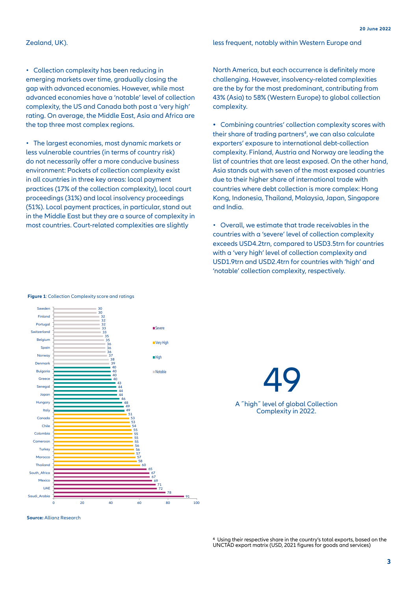### Zealand, UK).

• Collection complexity has been reducing in emerging markets over time, gradually closing the gap with advanced economies. However, while most advanced economies have a 'notable' level of collection complexity, the US and Canada both post a 'very high' rating. On average, the Middle East, Asia and Africa are the top three most complex regions.

• The largest economies, most dynamic markets or less vulnerable countries (in terms of country risk) do not necessarily offer a more conducive business environment: Pockets of collection complexity exist in all countries in three key areas: local payment practices (17% of the collection complexity), local court proceedings (31%) and local insolvency proceedings (51%). Local payment practices, in particular, stand out in the Middle East but they are a source of complexity in most countries. Court-related complexities are slightly

less frequent, notably within Western Europe and

North America, but each occurrence is definitely more challenging. However, insolvency-related complexities are the by far the most predominant, contributing from 43% (Asia) to 58% (Western Europe) to global collection complexity.

**•** Combining countries' collection complexity scores with their share of trading partners<sup>4</sup>, we can also calculate exporters' exposure to international debt-collection complexity. Finland, Austria and Norway are leading the list of countries that are least exposed. On the other hand, Asia stands out with seven of the most exposed countries due to their higher share of international trade with countries where debt collection is more complex: Hong Kong, Indonesia, Thailand, Malaysia, Japan, Singapore and India.

• Overall, we estimate that trade receivables in the countries with a 'severe' level of collection complexity exceeds USD4.2trn, compared to USD3.5trn for countries with a 'very high' level of collection complexity and USD1.9trn and USD2.4trn for countries with 'high' and 'notable' collection complexity, respectively.



**Figure 1**: Collection Complexity score and ratings

**Source:** Allianz Research

49 A ˝high˝ level of global Collection Complexity in 2022.

4 Using their respective share in the country's total exports, based on the UNCTAD export matrix (USD, 2021 figures for goods and services)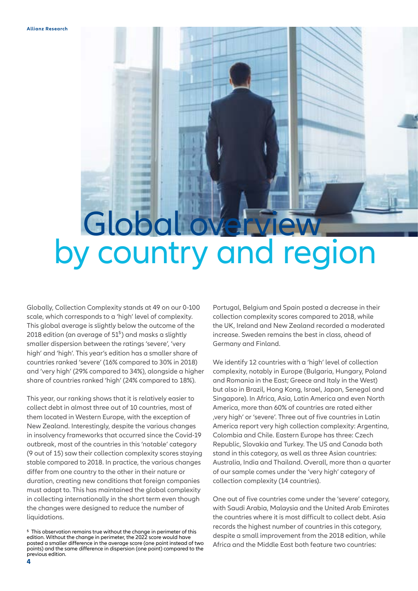## Global by country and region

Globally, Collection Complexity stands at 49 on our 0-100 scale, which corresponds to a 'high' level of complexity. This global average is slightly below the outcome of the 2018 edition (an average of  $51<sup>5</sup>$ ) and masks a slightly smaller dispersion between the ratings 'severe', 'very high' and 'high'. This year's edition has a smaller share of countries ranked 'severe' (16% compared to 30% in 2018) and 'very high' (29% compared to 34%), alongside a higher share of countries ranked 'high' (24% compared to 18%).

This year, our ranking shows that it is relatively easier to collect debt in almost three out of 10 countries, most of them located in Western Europe, with the exception of New Zealand. Interestingly, despite the various changes in insolvency frameworks that occurred since the Covid-19 outbreak, most of the countries in this 'notable' category (9 out of 15) saw their collection complexity scores staying stable compared to 2018. In practice, the various changes differ from one country to the other in their nature or duration, creating new conditions that foreign companies must adapt to. This has maintained the global complexity in collecting internationally in the short term even though the changes were designed to reduce the number of liquidations.

Portugal, Belgium and Spain posted a decrease in their collection complexity scores compared to 2018, while the UK, Ireland and New Zealand recorded a moderated increase. Sweden remains the best in class, ahead of Germany and Finland.

We identify 12 countries with a 'high' level of collection complexity, notably in Europe (Bulgaria, Hungary, Poland and Romania in the East; Greece and Italy in the West) but also in Brazil, Hong Kong, Israel, Japan, Senegal and Singapore). In Africa, Asia, Latin America and even North America, more than 60% of countries are rated either 'very high' or 'severe'. Three out of five countries in Latin America report very high collection complexity: Argentina, Colombia and Chile. Eastern Europe has three: Czech Republic, Slovakia and Turkey. The US and Canada both stand in this category, as well as three Asian countries: Australia, India and Thailand. Overall, more than a quarter of our sample comes under the 'very high' category of collection complexity (14 countries).

One out of five countries come under the 'severe' category, with Saudi Arabia, Malaysia and the United Arab Emirates the countries where it is most difficult to collect debt. Asia records the highest number of countries in this category, despite a small improvement from the 2018 edition, while Africa and the Middle East both feature two countries:

<sup>5</sup> This observation remains true without the change in perimeter of this edition. Without the change in perimeter, the 2022 score would have posted a smaller difference in the average score (one point instead of two points) and the same difference in dispersion (one point) compared to the previous edition.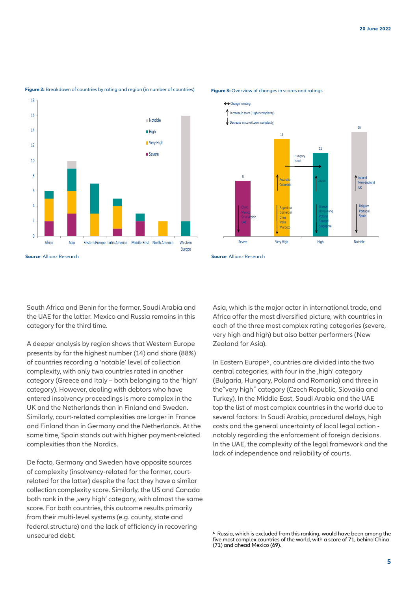

### **Figure 2:** Breakdown of countries by rating and region (in number of countries)



### **Figure 3:** Overview of changes in scores and ratings

South Africa and Benin for the former, Saudi Arabia and the UAE for the latter. Mexico and Russia remains in this category for the third time.

A deeper analysis by region shows that Western Europe presents by far the highest number (14) and share (88%) of countries recording a 'notable' level of collection complexity, with only two countries rated in another category (Greece and Italy – both belonging to the 'high' category). However, dealing with debtors who have entered insolvency proceedings is more complex in the UK and the Netherlands than in Finland and Sweden. Similarly, court-related complexities are larger in France and Finland than in Germany and the Netherlands. At the same time, Spain stands out with higher payment-related complexities than the Nordics.

De facto, Germany and Sweden have opposite sources of complexity (insolvency-related for the former, courtrelated for the latter) despite the fact they have a similar collection complexity score. Similarly, the US and Canada both rank in the , very high' category, with almost the same score. For both countries, this outcome results primarily from their multi-level systems (e.g. county, state and federal structure) and the lack of efficiency in recovering unsecured debt.

Asia, which is the major actor in international trade, and Africa offer the most diversified picture, with countries in each of the three most complex rating categories (severe, very high and high) but also better performers (New Zealand for Asia).

In Eastern Europe<sup>6</sup>, countries are divided into the two central categories, with four in the , high' category (Bulgaria, Hungary, Poland and Romania) and three in the˝very high˝ category (Czech Republic, Slovakia and Turkey). In the Middle East, Saudi Arabia and the UAE top the list of most complex countries in the world due to several factors: In Saudi Arabia, procedural delays, high costs and the general uncertainty of local legal action notably regarding the enforcement of foreign decisions. In the UAE, the complexity of the legal framework and the lack of independence and reliability of courts.

<sup>6</sup> Russia, which is excluded from this ranking, would have been among the five most complex countries of the world, with a score of 71, behind China (71) and ahead Mexico (69).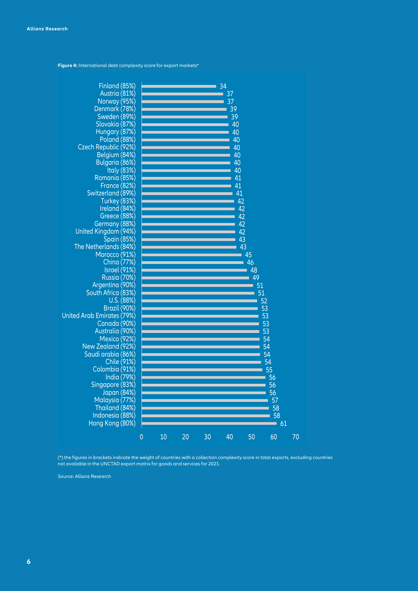**Figure 4:** International debt complexity score for export markets\*



et justo duo Dolores et (\*) the figures in brackets indicate the weight of countries with a collection complexity score in total exports, excluding countries not available in the UNCTAD export matrix for goods and services for 2021.

Source: Allianz Research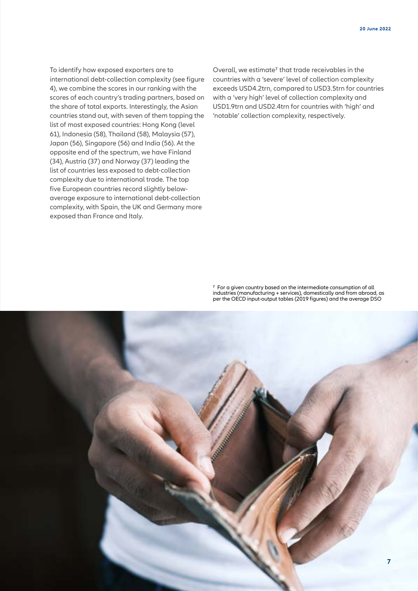To identify how exposed exporters are to international debt-collection complexity (see figure 4), we combine the scores in our ranking with the scores of each country's trading partners, based on the share of total exports. Interestingly, the Asian countries stand out, with seven of them topping the list of most exposed countries: Hong Kong (level 61), Indonesia (58), Thailand (58), Malaysia (57), Japan (56), Singapore (56) and India (56). At the opposite end of the spectrum, we have Finland (34), Austria (37) and Norway (37) leading the list of countries less exposed to debt-collection complexity due to international trade. The top five European countries record slightly belowaverage exposure to international debt-collection complexity, with Spain, the UK and Germany more exposed than France and Italy.

Overall, we estimate<sup>7</sup> that trade receivables in the countries with a 'severe' level of collection complexity exceeds USD4.2trn, compared to USD3.5trn for countries with a 'very high' level of collection complexity and USD1.9trn and USD2.4trn for countries with 'high' and 'notable' collection complexity, respectively.

7 For a given country based on the intermediate consumption of all industries (manufacturing + services), domestically and from abroad, as per the OECD input-output tables (2019 figures) and the average DSO

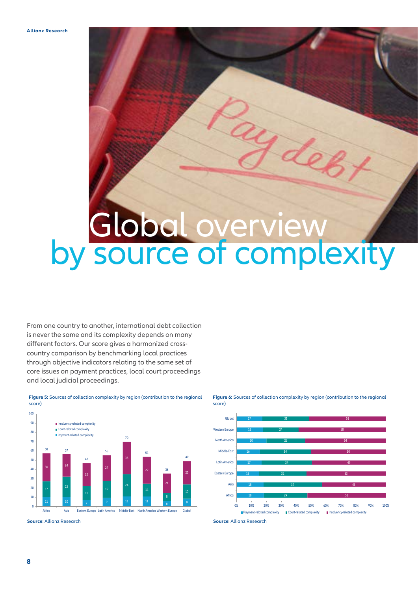## by source of complexity Global overview

From one country to another, international debt collection is never the same and its complexity depends on many different factors. Our score gives a harmonized crosscountry comparison by benchmarking local practices through objective indicators relating to the same set of core issues on payment practices, local court proceedings and local judicial proceedings.



**Figure 5:** Sources of collection complexity by region (contribution to the regional score)

**Source**: Allianz Research **Source**: Allianz Research



**Figure 6:** Sources of collection complexity by region (contribution to the regional score)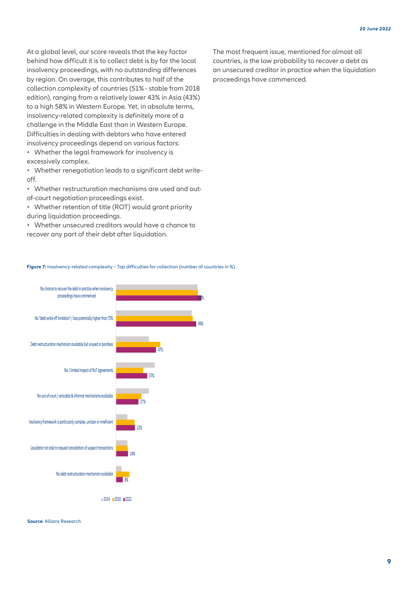At a global level, our score reveals that the key factor behind how difficult it is to collect debt is by far the local insolvency proceedings, with no outstanding differences by region. On average, this contributes to half of the collection complexity of countries (51% - stable from 2018 edition), ranging from a relatively lower 43% in Asia (43%) to a high 58% in Western Europe. Yet, in absolute terms, insolvency-related complexity is definitely more of a challenge in the Middle East than in Western Europe. Difficulties in dealing with debtors who have entered insolvency proceedings depend on various factors:

• Whether the legal framework for insolvency is excessively complex.

• Whether renegotiation leads to a significant debt writeoff.

• Whether restructuration mechanisms are used and outof-court negotiation proceedings exist.

• Whether retention of title (ROT) would grant priority during liquidation proceedings.

• Whether unsecured creditors would have a chance to recover any part of their debt after liquidation.

The most frequent issue, mentioned for almost all countries, is the low probability to recover a debt as an unsecured creditor in practice when the liquidation proceedings have commenced.

### **Figure 7:** Insolvency-related complexity – Top difficulties for collection (number of countries in %)



**Source**: Allianz Research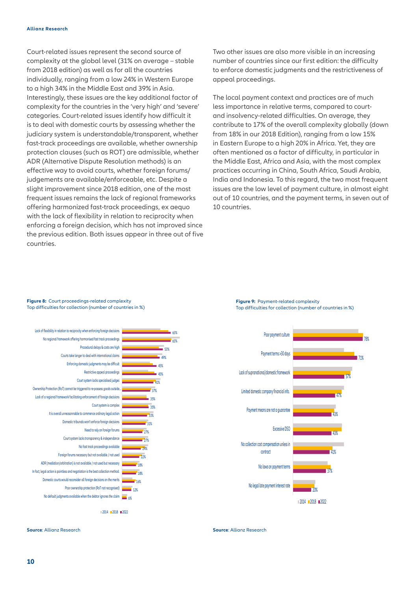Court-related issues represent the second source of complexity at the global level (31% on average – stable from 2018 edition) as well as for all the countries individually, ranging from a low 24% in Western Europe to a high 34% in the Middle East and 39% in Asia. Interestingly, these issues are the key additional factor of complexity for the countries in the 'very high' and 'severe' categories. Court-related issues identify how difficult it is to deal with domestic courts by assessing whether the judiciary system is understandable/transparent, whether fast-track proceedings are available, whether ownership protection clauses (such as ROT) are admissible, whether ADR (Alternative Dispute Resolution methods) is an effective way to avoid courts, whether foreign forums/ judgements are available/enforceable, etc. Despite a slight improvement since 2018 edition, one of the most frequent issues remains the lack of regional frameworks offering harmonized fast-track proceedings, ex aequo with the lack of flexibility in relation to reciprocity when enforcing a foreign decision, which has not improved since the previous edition. Both issues appear in three out of five countries.

Two other issues are also more visible in an increasing number of countries since our first edition: the difficulty to enforce domestic judgments and the restrictiveness of appeal proceedings.

The local payment context and practices are of much less importance in relative terms, compared to courtand insolvency-related difficulties. On average, they contribute to 17% of the overall complexity globally (down from 18% in our 2018 Edition), ranging from a low 15% in Eastern Europe to a high 20% in Africa. Yet, they are often mentioned as a factor of difficulty, in particular in the Middle East, Africa and Asia, with the most complex practices occurring in China, South Africa, Saudi Arabia, India and Indonesia. To this regard, the two most frequent issues are the low level of payment culture, in almost eight out of 10 countries, and the payment terms, in seven out of 10 countries.

**Figure 8:** Court proceedings-related complexity Top difficulties for collection (number of countries in %)

> 63% 63%



**Figure 9:** Payment-related complexity Top difficulties for collection (number of countries in %)



**Source**: Allianz Research

**Source**: Allianz Research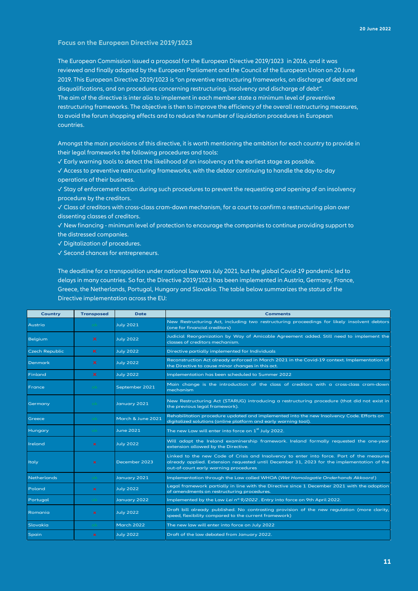### **Focus on the European Directive 2019/1023**

The European Commission issued a proposal for the European Directive 2019/1023 in 2016, and it was reviewed and finally adopted by the European Parliament and the Council of the European Union on 20 June 2019. This European Directive 2019/1023 is "on preventive restructuring frameworks, on discharge of debt and disqualifications, and on procedures concerning restructuring, insolvency and discharge of debt". The aim of the directive is inter alia to implement in each member state a minimum level of preventive restructuring frameworks. The objective is then to improve the efficiency of the overall restructuring measures, to avoid the forum shopping effects and to reduce the number of liquidation procedures in European countries.

Amongst the main provisions of this directive, it is worth mentioning the ambition for each country to provide in their legal frameworks the following procedures and tools:

✓ Early warning tools to detect the likelihood of an insolvency at the earliest stage as possible.

✓ Access to preventive restructuring frameworks, with the debtor continuing to handle the day-to-day operations of their business.

✓ Stay of enforcement action during such procedures to prevent the requesting and opening of an insolvency procedure by the creditors.

✓ Class of creditors with cross-class cram-down mechanism, for a court to confirm a restructuring plan over dissenting classes of creditors.

✓ New financing - minimum level of protection to encourage the companies to continue providing support to the distressed companies.

✓ Digitalization of procedures.

✓ Second chances for entrepreneurs.

The deadline for a transposition under national law was July 2021, but the global Covid-19 pandemic led to delays in many countries. So far, the Directive 2019/1023 has been implemented in Austria, Germany, France, Greece, the Netherlands, Portugal, Hungary and Slovakia. The table below summarizes the status of the Directive implementation across the EU:

| <b>Country</b>        | <b>Transposed</b>         | <b>Date</b>       | <b>Comments</b>                                                                                                                                                                                                                  |  |  |  |
|-----------------------|---------------------------|-------------------|----------------------------------------------------------------------------------------------------------------------------------------------------------------------------------------------------------------------------------|--|--|--|
| Austria               |                           | <b>July 2021</b>  | New Restructuring Act, including two restructuring proceedings for likely insolvent debtors<br>(one for financial creditors)                                                                                                     |  |  |  |
| Belgium               | $\boldsymbol{\mathsf{x}}$ | <b>July 2022</b>  | Judicial Reorganization by Way of Amicable Agreement added. Still need to implement the<br>classes of creditors mechanism.                                                                                                       |  |  |  |
| <b>Czech Republic</b> | ĸ                         | <b>July 2022</b>  | Directive partially implemented for Individuals                                                                                                                                                                                  |  |  |  |
| Denmark               | x                         | <b>July 2022</b>  | Reconstruction Act already enforced in March 2021 in the Covid-19 context. Implementation of<br>the Directive to cause minor changes in this act.                                                                                |  |  |  |
| Finland               | $\boldsymbol{\mathsf{x}}$ | <b>July 2022</b>  | Implementation has been scheduled to Summer 2022                                                                                                                                                                                 |  |  |  |
| France                |                           | September 2021    | Main change is the introduction of the class of creditors with a cross-class cram-down<br>mechanism                                                                                                                              |  |  |  |
| Germany               |                           | January 2021      | New Restructuring Act (STARUG) introducing a restructuring procedure (that did not exist in<br>the previous legal framework).                                                                                                    |  |  |  |
| Greece                |                           | March & June 2021 | Rehabilitation procedure updated and implemented into the new Insolvency Code. Efforts on<br>digitalized solutions (online platform and early warning tool).                                                                     |  |  |  |
| Hungary               |                           | <b>June 2021</b>  | The new Law will enter into force on 1 <sup>st</sup> July 2022.                                                                                                                                                                  |  |  |  |
| Ireland               | $\mathbf{x}$              | <b>July 2022</b>  | Will adapt the Ireland examinership framework. Ireland formally requested the one-year<br>extension allowed by the Directive.                                                                                                    |  |  |  |
| Italy                 | $\mathbf x$               | December 2023     | Linked to the new Code of Crisis and Insolvency to enter into force. Part of the measures<br>already applied. Extension requested until December 31, 2023 for the implementation of the<br>out-of-court early warning procedures |  |  |  |
| <b>Netherlands</b>    |                           | January 2021      | Implementation through the Law called WHOA (Wet Homologatie Onderhands Akkoord)                                                                                                                                                  |  |  |  |
| Poland                | $\mathbf x$               | <b>July 2022</b>  | Legal framework partially in line with the Directive since 1 December 2021 with the adoption<br>of amendments on restructuring procedures.                                                                                       |  |  |  |
| Portugal              |                           | January 2022      | Implemented by the Law Lei nº 9/2022. Entry into force on 9th April 2022.                                                                                                                                                        |  |  |  |
| Romania               | $\mathbf x$               | <b>July 2022</b>  | Draft bill already published. No contrasting provision of the new regulation (more clarity,<br>speed, flexibility compared to the current framework)                                                                             |  |  |  |
| Slovakia              |                           | March 2022        | The new law will enter into force on July 2022                                                                                                                                                                                   |  |  |  |
| Spain                 | $\mathbf x$               | <b>July 2022</b>  | Draft of the law debated from January 2022.                                                                                                                                                                                      |  |  |  |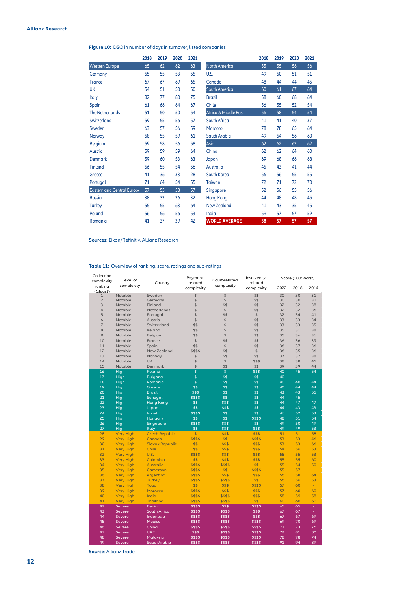### **Figure 10:** DSO in number of days in turnover, listed companies

|                            | 2018 | 2019 | 2020 | 2021 |                      | 2018 | 2019 | 2020 | 2021 |
|----------------------------|------|------|------|------|----------------------|------|------|------|------|
| <b>Western Europe</b>      | 65   | 62   | 62   | 63   | <b>North America</b> | 55   | 55   | 56   | 56   |
| Germany                    | 55   | 55   | 53   | 55   | U.S.                 | 49   | 50   | 51   | 51   |
| France                     | 67   | 67   | 69   | 65   | Canada               | 48   | 44   | 44   | 45   |
| UK                         | 54   | 51   | 50   | 50   | South America        | 60   | 61   | 67   | 64   |
| Italy                      | 82   | 77   | 80   | 75   | <b>Brazil</b>        | 58   | 60   | 68   | 64   |
| Spain                      | 61   | 66   | 64   | 67   | Chile                | 56   | 55   | 52   | 54   |
| <b>The Netherlands</b>     | 51   | 50   | 50   | 54   | Africa & Middle East | 56   | 58   | 54   | 54   |
| Switzerland                | 59   | 55   | 56   | 57   | South Africa         | 41   | 41   | 40   | 37   |
| Sweden                     | 63   | 57   | 56   | 59   | Morocco              | 78   | 78   | 65   | 64   |
| Norway                     | 58   | 55   | 59   | 61   | Saudi Arabia         | 49   | 54   | 56   | 60   |
| <b>Belgium</b>             | 59   | 58   | 56   | 58   | Asia                 | 62   | 62   | 62   | 62   |
| Austria                    | 59   | 59   | 59   | 64   | China                | 62   | 62   | 64   | 60   |
| <b>Denmark</b>             | 59   | 60   | 53   | 63   | Japan                | 69   | 68   | 66   | 68   |
| Finland                    | 56   | 55   | 54   | 56   | Australia            | 45   | 43   | 41   | 44   |
| Greece                     | 41   | 36   | 33   | 28   | South Korea          | 56   | 56   | 55   | 55   |
| Portugal                   | 71   | 64   | 54   | 55   | Taiwan               | 72   | 71   | 72   | 70   |
| Eastern and Central Europe | 57   | 55   | 58   | 57   | Singapore            | 52   | 56   | 55   | 56   |
| <b>Russia</b>              | 38   | 33   | 36   | 32   | <b>Hong Kong</b>     | 44   | 48   | 48   | 45   |
| <b>Turkey</b>              | 55   | 55   | 63   | 64   | New Zealand          | 41   | 43   | 35   | 45   |
| Poland                     | 56   | 56   | 56   | 53   | India                | 59   | 57   | 57   | 59   |
| Romania                    | 41   | 37   | 39   | 42   | <b>WORLD AVERAGE</b> | 58   | 57   | 57   | 57   |

**Sources**: Eikon/Refinitiv, Allianz Research

### **Table 11:** Overview of ranking, score, ratings and sub-ratings

| Collection                |                                      |                        | Payment-                |                | Insolvency-        |          | Score (100: worst) |                |
|---------------------------|--------------------------------------|------------------------|-------------------------|----------------|--------------------|----------|--------------------|----------------|
| complexity                | Level of                             | Country                | related                 | Court-related  | related            |          |                    |                |
| ranking                   | complexity                           |                        | complexity              | complexity     | complexity         | 2022     | 2018               | 2014           |
| (1:least)<br>$\mathbf{1}$ | Notable                              | Sweden                 | \$                      | \$             | \$\$               | 30       | 30                 | 31             |
| $\overline{2}$            | Notable                              | Germany                | $\hat{S}$               | \$             | \$\$               | 30       | 30                 | 31             |
| 3                         | Notable                              | Finland                | \$                      | \$\$           | \$\$               | 32       | 32                 | 38             |
| $\overline{4}$            | Notable                              | Netherlands            | \$                      | \$             | \$\$               | 32       | 32                 | 36             |
| 5                         | Notable                              | Portugal               | \$                      | \$\$           | \$                 | 32       | 34                 | 41             |
| 6                         | Notable                              | Austria                | \$                      | \$             | \$\$               | 33       | 33                 | 34             |
| $\overline{7}$            | Notable                              | Switzerland            | \$\$                    | \$             | \$\$               | 33       | 33                 | 35             |
| $\overline{8}$            | Notable                              | Ireland                | \$\$                    | $\hat{z}$      | \$\$               | 35       | 31                 | 38             |
| 9                         | Notable                              | Belgium                | \$\$                    | \$             | \$\$               | 35       | 36                 | 36             |
| 10                        | Notable                              | France                 | \$                      | \$\$           | \$\$               | 36       | 36                 | 39             |
| 11                        | Notable                              | Spain                  | \$\$                    | \$             | \$\$               | 36       | 37                 | 36             |
| 12                        | Notable                              | <b>New Zealand</b>     | \$\$\$\$                | \$\$           | $\mathsf{\$}$      | 36       | 35                 | 36             |
| 13                        | Notable                              | Norway                 | \$                      | \$\$           | \$\$               | 37       | 37                 | 38             |
| 14                        | Notable                              | <b>UK</b>              | \$                      | \$             | \$\$\$             | 38       | 38                 | 41             |
| 15                        | Notable                              | Denmark                | \$                      | \$\$           | \$\$               | 39       | 39                 | 44             |
| 16                        | High                                 | Poland                 | \$                      | \$             | \$\$\$             | 40       | 45                 | 54             |
| 17                        | High                                 | <b>Bulgaria</b>        | \$                      | \$\$           | \$\$               | 40       | $\omega$           | ÷.             |
| 18                        | High                                 | Romania                | \$                      | \$\$           | \$\$               | 40       | 40                 | 44             |
| 19                        | High                                 | Greece                 | \$\$                    | \$\$           | \$\$               | 40       | 44                 | 44             |
| 20                        | High                                 | <b>Brazil</b>          | \$\$\$                  | \$\$           | \$\$               | 43       | 43                 | 55             |
| 21                        | High                                 | Senegal                | \$\$\$\$                | \$\$           | \$\$               | 44       | 45                 | $\omega$       |
| 22                        | High                                 | <b>Hong Kong</b>       | \$\$                    | \$\$\$         | \$\$               | 44       | 47                 | 47             |
| 23                        | High                                 | Japan                  | \$\$                    | \$\$\$         | \$\$               | 44       | 43                 | 43             |
| 24                        | High                                 | Israel                 | \$\$\$\$                | \$\$           | \$\$               | 46       | 52                 | 53             |
| 25                        | High                                 | Hungary                | \$\$                    | \$\$           | \$\$\$\$           | 48       | 51                 | 54             |
| 26                        | High                                 | Singapore              | \$\$\$\$                | \$\$\$         | \$\$               | 49       | 50                 | 49             |
| 27                        | High                                 | Italy                  | \$\$                    | \$\$\$         | \$\$\$             | 49       | 49                 | 53             |
| 28                        | <b>Very High</b>                     | <b>Czech Republic</b>  | $\overline{\mathbb{S}}$ | \$\$\$         | \$\$\$             | 51       | 51                 | 58             |
| 29                        | <b>Very High</b>                     | Canada                 | \$\$\$\$                | \$\$           | \$\$\$\$           | 53       | 53                 | 46             |
| 30                        | <b>Very High</b>                     | <b>Slovak Republic</b> | \$\$                    | \$\$\$         | \$\$\$             | 53       | 53                 | 66             |
| 31                        | <b>Very High</b>                     | Chile                  | \$\$                    | \$\$\$         | \$\$\$             | 54       | 56                 | 53             |
| 32                        | <b>Very High</b>                     | U.S.                   | \$\$\$\$                | \$\$\$         | \$\$\$             | 55       | 55                 | 53             |
| 33                        | <b>Very High</b>                     | Colombia               | \$\$                    | \$\$\$         | \$\$\$             | 55       | 55                 | 60             |
| 34                        | <b>Very High</b>                     | Australia              | \$\$\$\$                | \$\$\$\$       | \$\$               | 55       | 54<br>57           | 50             |
| 35<br>36                  | <b>Very High</b>                     | Cameroon               | \$\$\$\$                | \$\$<br>\$\$\$ | \$\$\$\$<br>\$\$\$ | 55<br>56 | 58                 | $\omega$       |
| 37                        | <b>Very High</b>                     | Argentina              | \$\$\$\$<br>\$\$\$\$    | \$\$\$\$       | \$\$               | 56       | 56                 | 64<br>53       |
| 38                        | <b>Very High</b>                     | <b>Turkey</b>          | \$\$                    | \$\$\$         | \$\$\$\$           | 57       | 60                 |                |
| 39                        | <b>Very High</b>                     | Togo<br>Morocco        | \$\$\$\$                | \$\$\$         | \$\$\$             | 57       | 60                 | $\omega$<br>60 |
| 40                        | <b>Very High</b><br><b>Very High</b> | India                  | \$\$\$\$                | \$\$\$\$       | \$\$\$             | 58       | 59                 | 58             |
| 41                        | <b>Very High</b>                     | <b>Thailand</b>        | \$\$\$\$                | \$\$\$\$       | \$\$               | 60       | 60                 | 60             |
| 42                        | Severe                               | <b>Benin</b>           | \$\$\$\$                | \$\$\$         | \$\$\$\$           | 65       | 65                 | ÷.             |
| 43                        | Severe                               | South Africa           | \$\$\$\$                | \$\$\$\$       | \$\$\$             | 67       | 67                 | ÷.             |
| 44                        | Severe                               | Indonesia              | \$\$\$\$                | \$\$\$\$       | \$\$\$             | 67       | 67                 | 69             |
| 45                        | Severe                               | Mexico                 | \$\$\$\$                | \$\$\$\$       | \$\$\$\$           | 69       | 70                 | 69             |
| 46                        | Severe                               | China                  | \$\$\$\$                | \$\$\$\$       | \$\$\$\$           | 71       | 73                 | 76             |
| 47                        | Severe                               | <b>UAE</b>             | \$\$\$                  | \$\$\$\$       | \$\$\$\$           | 72       | 81                 | 80             |
| 48                        | Severe                               | Malaysia               | \$\$\$\$                | \$\$\$\$       | \$\$\$\$           | 78       | 78                 | 74             |
| 49                        | Severe                               | Saudi Arabia           | \$\$\$\$                | \$\$\$\$       | \$\$\$\$           | 91       | 94                 | 89             |
|                           |                                      |                        |                         |                |                    |          |                    |                |

**Source**: Allianz Trade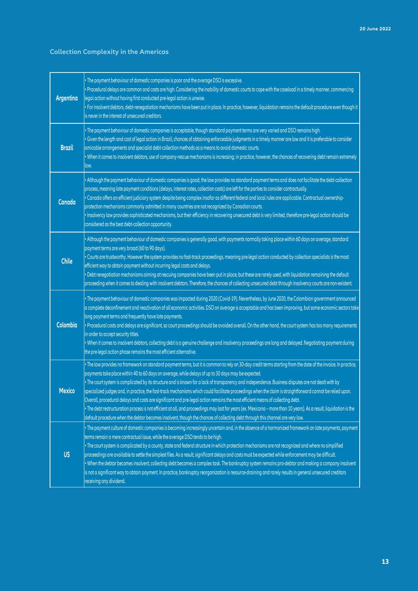### **Collection Complexity in the Americas**

| Argentina     | · The payment behaviour of domestic companies is poor and the average DSO is excessive.<br>· Procedural delays are common and costs are high. Considering the inability of domestic courts to cope with the caseload in a timely manner, commencing<br>legal action without having first conducted pre-legal action is unwise.<br>· For insolvent debtors, debt-renegotiation mechanisms have been put in place. In practice, however, liquidation remains the default procedure even though it<br>is never in the interest of unsecured creditors.                                                                                                                                                                                                                                                                                                                                                                                                                                                                                   |
|---------------|---------------------------------------------------------------------------------------------------------------------------------------------------------------------------------------------------------------------------------------------------------------------------------------------------------------------------------------------------------------------------------------------------------------------------------------------------------------------------------------------------------------------------------------------------------------------------------------------------------------------------------------------------------------------------------------------------------------------------------------------------------------------------------------------------------------------------------------------------------------------------------------------------------------------------------------------------------------------------------------------------------------------------------------|
| <b>Brazil</b> | · The payment behaviour of domestic companies is acceptable, though standard payment terms are very varied and DSO remains high.<br>· Given the length and cost of legal action in Brazil, chances of obtaining enforceable judgments in a timely manner are low and it is preferable to consider<br>amicable arrangements and specialist debt-collection methods as a means to avoid domestic courts.<br>. When it comes to insolvent debtors, use of company-rescue mechanisms is increasing; in practice, however, the chances of recovering debt remain extremely<br>low.                                                                                                                                                                                                                                                                                                                                                                                                                                                         |
| Canada        | · Although the payment behaviour of domestic companies is good, the law provides no standard payment terms and does not facilitate the debt-collection<br>process, meaning late payment conditions (delays, interest rates, collection costs) are left for the parties to consider contractually.<br>· Canada offers an efficient judiciary system despite being complex insofar as different federal and local rules are applicable. Contractual ownership-<br>protection mechanisms commonly admitted in many countries are not recognized by Canadian courts.<br>· Insolvency law provides sophisticated mechanisms, but their efficiency in recovering unsecured debt is very limited, therefore pre-legal action should be<br>considered as the best debt-collection opportunity.                                                                                                                                                                                                                                                |
| <b>Chile</b>  | . Although the payment behaviour of domestic companies is generally good, with payments normally taking place within 60 days on average, standard<br>payment terms are very broad (60 to 90 days).<br>· Courts are trustworthy. However the system provides no fast-track proceedings, meaning pre-legal action conducted by collection specialists is the most<br>efficient way to obtain payment without incurring legal costs and delays.<br>• Debt renegotiation mechanisms aiming at rescuing companies have been put in place, but these are rarely used, with liquidation remaining the default<br>proceeding when it comes to dealing with insolvent debtors. Therefore, the chances of collecting unsecured debt through insolvency courts are non-existent.                                                                                                                                                                                                                                                                 |
| Colombia      | . The payment behaviour of domestic companies was impacted during 2020 (Covid-19). Nevertheless, by June 2020, the Colombian government announced<br>a complete deconfinement and reactivation of all economic activities. DSO on average is acceptable and has been improving, but some economic sectors take<br>long payment terms and frequently have late payments.<br>· Procedural costs and delays are significant, so court proceedings should be avoided overall. On the other hand, the court system has too many requirements<br>in order to accept security titles.<br>· When it comes to insolvent debtors, collecting debt is a genuine challenge and insolvency proceedings are long and delayed. Negotiating payment during<br>the pre-legal action phase remains the most efficient alternative.                                                                                                                                                                                                                      |
| <b>Mexico</b> | . The law provides no framework on standard payment terms, but it is common to rely on 30-day credit terms starting from the date of the invoice. In practice,<br>payments take place within 40 to 60 days on average, while delays of up to 30 days may be expected.<br>. The court system is complicated by its structure and is known for a lack of transparency and independence. Business disputes are not dealt with by<br>specialized judges and, in practice, the fast-track mechanisms which could facilitate proceedings when the claim is straightforward cannot be relied upon.<br>Overall, procedural delays and costs are significant and pre-legal action remains the most efficient means of collecting debt.<br>. The debt restructuration process is not efficient at all, and proceedings may last for years (ex. Mexicana - more than 10 years). As a result, liquidation is the<br>default procedure when the debtor becomes insolvent, though the chances of collecting debt through this channel are very low. |
| <b>US</b>     | . The payment culture of domestic companies is becoming increasingly uncertain and, in the absence of a harmonized framework on late payments, payment<br>terms remain a mere contractual issue, while the average DSO tends to be high.<br>· The court system is complicated by a county, state and federal structure in which protection mechanisms are not recognized and where no simplified<br>proceedings are available to settle the simplest files. As a result, significant delays and costs must be expected while enforcement may be difficult.<br>. When the debtor becomes insolvent, collecting debt becomes a complex task. The bankruptcy system remains pro-debtor and making a company insolvent<br>is not a significant way to obtain payment. In practice, bankruptcy reorganization is resource-draining and rarely results in general unsecured creditors<br>receiving any dividend.                                                                                                                            |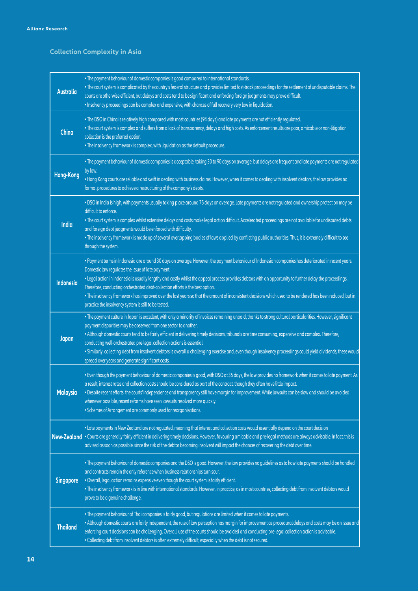### **Collection Complexity in Asia**

| <b>Australia</b>   | · The payment behaviour of domestic companies is good compared to international standards.<br>. The court system is complicated by the country's federal structure and provides limited fast-track proceedings for the settlement of undisputable claims. The<br>courts are otherwise efficient, but delays and costs tend to be significant and enforcing foreign judgments may prove difficult.<br>· Insolvency proceedings can be complex and expensive, with chances of full recovery very low in liquidation.                                                                                                                                                                               |
|--------------------|--------------------------------------------------------------------------------------------------------------------------------------------------------------------------------------------------------------------------------------------------------------------------------------------------------------------------------------------------------------------------------------------------------------------------------------------------------------------------------------------------------------------------------------------------------------------------------------------------------------------------------------------------------------------------------------------------|
| China              | · The DSO in China is relatively high compared with most countries (94 days) and late payments are not efficiently regulated.<br>. The court system is complex and suffers from a lack of transparency, delays and high costs. As enforcement results are poor, amicable or non-litigation<br>collection is the preferred option.<br>· The insolvency framework is complex, with liquidation as the default procedure.                                                                                                                                                                                                                                                                           |
| Hong-Kong          | . The payment behaviour of domestic companies is acceptable, taking 30 to 90 days on average, but delays are frequent and late payments are not regulated<br>by law.<br>. Hong Kong courts are reliable and swift in dealing with business claims. However, when it comes to dealing with insolvent debtors, the law provides no<br>formal procedures to achieve a restructuring of the company's debts.                                                                                                                                                                                                                                                                                         |
| India              | . DSO in India is high, with payments usually taking place around 75 days on average. Late payments are not regulated and ownership protection may be<br>difficult to enforce.<br>· The court system is complex whilst extensive delays and costs make legal action difficult. Accelerated proceedings are not available for undisputed debts<br>and foreign debt judgments would be enforced with difficulty.<br>. The insolvency framework is made up of several overlapping bodies of laws applied by conflicting public authorities. Thus, it is extremely difficult to see<br>through the system.                                                                                           |
| Indonesia          | · Payment terms in Indonesia are around 30 days on average. However, the payment behaviour of Indonesian companies has deteriorated in recent years.<br>Domestic law regulates the issue of late payment.<br>. Legal action in Indonesia is usually lengthy and costly whilst the appeal process provides debtors with an opportunity to further delay the proceedings.<br>Therefore, conducting orchestrated debt-collection efforts is the best option.<br>. The insolvency framework has improved over the last years so that the amount of inconsistent decisions which used to be rendered has been reduced, but in<br>practice the insolvency system is still to be tested.                |
| Japan              | . The payment culture in Japan is excellent, with only a minority of invoices remaining unpaid, thanks to strong cultural particularities. However, significant<br>payment disparities may be observed from one sector to another.<br>. Although domestic courts tend to be fairly efficient in delivering timely decisions, tribunals are time consuming, expensive and complex. Therefore,<br>conducting well-orchestrated pre-legal collection actions is essential.<br>· Similarly, collecting debt from insolvent debtors is overall a challenging exercise and, even though insolvency proceedings could yield dividends, these would<br>spread over years and generate significant costs. |
| <b>Malaysia</b>    | . Even though the payment behaviour of domestic companies is good, with DSO at 35 days, the law provides no framework when it comes to late payment. As<br>a result, interest rates and collection costs should be considered as part of the contract, though they often have little impact.<br>· Despite recent efforts, the courts' independence and transparency still have margin for improvement. While lawsuits can be slow and should be avoided<br>whenever possible, recent reforms have seen lawsuits resolved more quickly.<br>• Schemes of Arrangement are commonly used for reorganisations.                                                                                        |
| <b>New-Zealand</b> | . Late payments in New Zealand are not regulated, meaning that interest and collection costs would essentially depend on the court decision<br>Courts are generally fairly efficient in delivering timely decisions. However, favouring amicable and pre-legal methods are always advisable. In fact, this is<br>advised as soon as possible, since the risk of the debtor becoming insolvent will impact the chances of recovering the debt over time.                                                                                                                                                                                                                                          |
| <b>Singapore</b>   | . The payment behaviour of domestic companies and the DSO is good. However, the law provides no guidelines as to how late payments should be handled<br>and contracts remain the only reference when business relationships turn sour.<br>. Overall, legal action remains expensive even though the court system is fairly efficient.<br>· The insolvency framework is in line with international standards. However, in practice, as in most countries, collecting debt from insolvent debtors would<br>prove to be a genuine challenge.                                                                                                                                                        |
| <b>Thailand</b>    | · The payment behaviour of Thai companies is fairly good, but regulations are limited when it comes to late payments.<br>. Although domestic courts are fairly independent, the rule of law perception has margin for improvement as procedural delays and costs may be an issue and<br>enforcing court decisions can be challenging. Overall, use of the courts should be avoided and conducting pre-legal collection action is advisable.<br>Collecting debt from insolvent debtors is often extremely difficult, especially when the debt is not secured.                                                                                                                                     |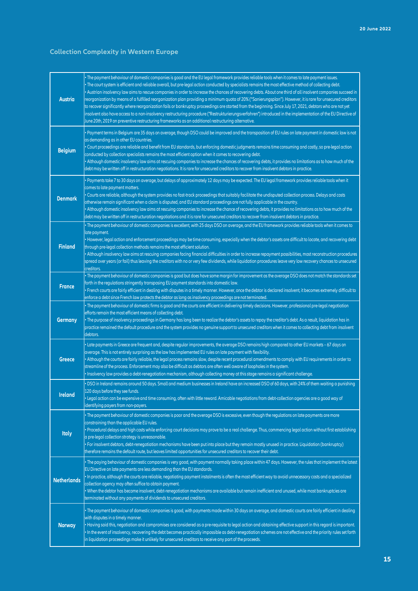### **Collection Complexity in Western Europe**

| Austria            | • The payment behaviour of domestic companies is good and the EU legal framework provides reliable tools when it comes to late payment issues.<br>• The court system is efficient and reliable overall, but pre-legal action conducted by specialists remains the most effective method of collecting debt.<br>· Austrian insolvency law aims to rescue companies in order to increase the chances of recovering debts. About one third of all insolvent companies succeed in<br>reorganization by means of a fulfilled reorganization plan providing a minimum quota of 20% ("Sanierungsplan"). However, it is rare for unsecured creditors<br>to recover significantly where reorganization fails or bankruptcy proceedings are started from the beginning. Since July 17, 2021, debtors who are not yet<br>insolvent also have access to a non-insolvency restructuring procedure ("Restrukturierungsverfahren") introduced in the implementation of the EU Directive of<br>June 20th, 2019 on preventive restructuring frameworks as an additional restructuring alternative. |
|--------------------|-----------------------------------------------------------------------------------------------------------------------------------------------------------------------------------------------------------------------------------------------------------------------------------------------------------------------------------------------------------------------------------------------------------------------------------------------------------------------------------------------------------------------------------------------------------------------------------------------------------------------------------------------------------------------------------------------------------------------------------------------------------------------------------------------------------------------------------------------------------------------------------------------------------------------------------------------------------------------------------------------------------------------------------------------------------------------------------|
| <b>Belgium</b>     | • Payment terms in Belgium are 35 days on average, though DSO could be improved and the transposition of EU rules on late payment in domestic law is not<br>as demanding as in other EU countries.<br>• Court proceedings are reliable and benefit from EU standards, but enforcing domestic judgments remains time consuming and costly, so pre-legal action<br>conducted by collection specialists remains the most efficient option when it comes to recovering debt.<br>• Although domestic insolvency law aims at rescuing companies to increase the chances of recovering debts, it provides no limitations as to how much of the<br>debt may be written off in restructuration negotiations. It is rare for unsecured creditors to recover from insolvent debtors in practice.                                                                                                                                                                                                                                                                                             |
| <b>Denmark</b>     | • Payments take 7 to 30 days on average, but delays of approximately 12 days may be expected. The EU legal framework provides reliable tools when it<br>comes to late payment matters.<br>• Courts are reliable, although the system provides no fast-track proceedings that suitably facilitate the undisputed collection process. Delays and costs<br>otherwise remain significant when a claim is disputed, and EU standard proceedings are not fully applicable in the country.<br>• Although domestic insolvency law aims at rescuing companies to increase the chance of recovering debts, it provides no limitations as to how much of the<br>debt may be written off in restructuration negotiations and it is rare for unsecured creditors to recover from insolvent debtors in practice.                                                                                                                                                                                                                                                                                |
| <b>Finland</b>     | . The payment behaviour of domestic companies is excellent, with 25 days DSO on average, and the EU framework provides reliable tools when it comes to<br>late payment.<br>• However, legal action and enforcement proceedings may be time consuming, especially when the debtor's assets are difficult to locate, and recovering debt<br>through pre-legal collection methods remains the most efficient solution.<br>• Although insolvency law aims at rescuing companies facing financial difficulties in order to increase repayment possibilities, most reconstruction procedures<br>spread over years (or fail) thus leaving the creditors with no or very few dividends, while liquidation procedures leave very low recovery chances to unsecured<br>creditors.                                                                                                                                                                                                                                                                                                           |
| <b>France</b>      | • The payment behaviour of domestic companies is good but does have some margin for improvement as the average DSO does not match the standards set<br>forth in the regulations stringently transposing EU payment standards into domestic law.<br>• French courts are fairly efficient in dealing with disputes in a timely manner. However, once the debtor is declared insolvent, it becomes extremely difficult to<br>enforce a debt since French law protects the debtor as long as insolvency proceedings are not terminated.                                                                                                                                                                                                                                                                                                                                                                                                                                                                                                                                               |
| Germany            | • The payment behaviour of domestic firms is good and the courts are efficient in delivering timely decisions. However, professional pre-legal negotiation<br>efforts remain the most efficient means of collecting debt.<br>• The purpose of insolvency proceedings in Germany has long been to realize the debtor's assets to repay the creditor's debt. As a result, liquidation has in<br>practice remained the default procedure and the system provides no genuine support to unsecured creditors when it comes to collecting debt from insolvent<br>debtors.                                                                                                                                                                                                                                                                                                                                                                                                                                                                                                               |
| <b>Greece</b>      | • Late payments in Greece are frequent and, despite regular improvements, the average DSO remains high compared to other EU markets – 67 days on<br>average. This is not entirely surprising as the law has implemented EU rules on late payment with flexibility.<br>• Although the courts are fairly reliable, the legal process remains slow, despite recent procedural amendments to comply with EU requirements in order to<br>streamline of the process. Enforcement may also be difficult as debtors are often well aware of loopholes in the system.<br>· Insolvency law provides a debt-renegotiation mechanism, although collecting money at this stage remains a significant challenge.                                                                                                                                                                                                                                                                                                                                                                                |
| Ireland            | • DSO in Ireland remains around 50 days. Small and medium businesses in Ireland have an increased DSO of 60 days, with 24% of them waiting a punishing<br>120 days before they see funds.<br>• Legal action can be expensive and time consuming, often with little reward. Amicable negotiations from debt-collection agencies are a good way of<br>identifying payers from non-payers.                                                                                                                                                                                                                                                                                                                                                                                                                                                                                                                                                                                                                                                                                           |
| <b>Italy</b>       | • The payment behaviour of domestic companies is poor and the average DSO is excessive, even though the regulations on late payments are more<br>constraining than the applicable EU rules.<br>• Procedural delays and high costs while enforcing court decisions may prove to be a real challenge. Thus, commencing legal action without first establishing<br>a pre-legal collection strategy is unreasonable.<br>. For insolvent debtors, debt-renegotiation mechanisms have been put into place but they remain mostly unused in practice. Liquidation (bankruptcy)<br>therefore remains the default route, but leaves limited opportunities for unsecured creditors to recover their debt.                                                                                                                                                                                                                                                                                                                                                                                   |
| <b>Netherlands</b> | · The paying behaviour of domestic companies is very good, with payment normally taking place within 47 days. However, the rules that implement the latest<br>EU Directive on late payments are less demanding than the EU standards.<br>In practice, although the courts are reliable, negotiating payment instalments is often the most efficient way to avoid unnecessary costs and a specialized<br>collection agency may often suffice to obtain payment.<br>• When the debtor has become insolvent, debt-renegotiation mechanisms are available but remain inefficient and unused, while most bankruptcies are<br>terminated without any payments of dividends to unsecured creditors.                                                                                                                                                                                                                                                                                                                                                                                      |
| <b>Norway</b>      | · The payment behaviour of domestic companies is good, with payments made within 30 days on average, and domestic courts are fairly efficient in dealing<br>with disputes in a timely manner.<br>• Having said this, negotiation and compromises are considered as a pre-requisite to legal action and obtaining effective support in this regard is important.<br>• In the event of insolvency, recovering the debt becomes practically impossible as debt-renegotiation schemes are not effective and the priority rules set forth<br>in liquidation proceedings make it unlikely for unsecured creditors to receive any part of the proceeds.                                                                                                                                                                                                                                                                                                                                                                                                                                  |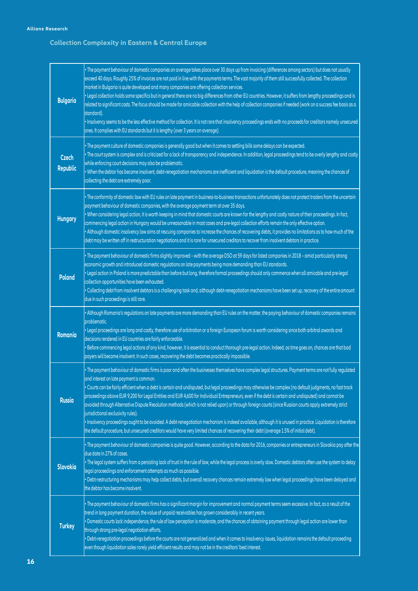### **Collection Complexity in Eastern & Central Europe**

| <b>Bulgaria</b>          | . The payment behaviour of domestic companies on average takes place over 30 days up from invoicing (differences among sectors) but does not usually<br>exceed 40 days. Roughly 25% of invoices are not paid in line with the payments terms. The vast majority of them still successfully collected. The collection<br>market in Bulgaria is quite developed and many companies are offering collection services.<br>. Legal collection holds some specifics but in general there are no big differences from other EU countries. However, it suffers from lengthy proceedings and is<br>related to significant costs. The focus should be made for amicable collection with the help of collection companies if needed (work on a success fee basis as a<br>standard).<br>· Insolvency seems to be the less effective method for collection. It is not rare that insolvency proceedings ends with no proceeds for creditors namely unsecured<br>ones. It complies with EU standards but it is lengthy (over 3 years on average).         |
|--------------------------|--------------------------------------------------------------------------------------------------------------------------------------------------------------------------------------------------------------------------------------------------------------------------------------------------------------------------------------------------------------------------------------------------------------------------------------------------------------------------------------------------------------------------------------------------------------------------------------------------------------------------------------------------------------------------------------------------------------------------------------------------------------------------------------------------------------------------------------------------------------------------------------------------------------------------------------------------------------------------------------------------------------------------------------------|
| Czech<br><b>Republic</b> | · The payment culture of domestic companies is generally good but when it comes to settling bills some delays can be expected.<br>. The court system is complex and is criticized for a lack of transparency and independence. In addition, legal proceedings tend to be overly lengthy and costly<br>while enforcing court decisions may also be problematic.<br>. When the debtor has become insolvent, debt-renegotiation mechanisms are inefficient and liquidation is the default procedure, meaning the chances of<br>collecting the debt are extremely poor.                                                                                                                                                                                                                                                                                                                                                                                                                                                                        |
| <b>Hungary</b>           | . The conformity of domestic law with EU rules on late payment in business-to-business transactions unfortunately does not protect traders from the uncertain<br>payment behaviour of domestic companies, with the average payment term at over 35 days.<br>. When considering legal action, it is worth keeping in mind that domestic courts are known for the lengthy and costly nature of their proceedings. In fact,<br>commencing legal action in Hungary would be unreasonable in most cases and pre-legal collection efforts remain the only effective option.<br>. Although domestic insolvency law aims at rescuing companies to increase the chances of recovering debts, it provides no limitations as to how much of the<br>debt may be written off in restructuration negotiations and it is rare for unsecured creditors to recover from insolvent debtors in practice.                                                                                                                                                      |
| <b>Poland</b>            | . The payment behaviour of domestic firms slightly improved - with the average DSO at 59 days for listed companies in 2018 - amid particularly strong<br>economic growth and introduced domestic regulations on late payments being more demanding than EU standards.<br>· Legal action in Poland is more predictable than before but long, therefore formal proceedings should only commence when all amicable and pre-legal<br>collection opportunities have been exhausted.<br>• Collecting debt from insolvent debtors is a challenging task and, although debt-renegotiation mechanisms have been set up, recovery of the entire amount<br>due in such proceedings is still rare.                                                                                                                                                                                                                                                                                                                                                     |
| Romania                  | . Although Romania's regulations on late payments are more demanding than EU rules on the matter, the paying behaviour of domestic companies remains<br>problematic.<br>· Legal proceedings are long and costly, therefore use of arbitration or a foreign European forum is worth considering since both arbitral awards and<br>decisions rendered in EU countries are fairly enforceable.<br>• Before commencing legal actions of any kind, however, it is essential to conduct thorough pre-legal action. Indeed, as time goes on, chances are that bad<br>payers will become insolvent. In such cases, recovering the debt becomes practically impossible.                                                                                                                                                                                                                                                                                                                                                                             |
| <b>Russia</b>            | . The payment behaviour of domestic firms is poor and often the businesses themselves have complex legal structures. Payment terms are not fully regulated<br>and interest on late payment is common.<br>· Courts can be fairly efficient when a debt is certain and undisputed, but legal proceedings may otherwise be complex (no default judgments, no fast track<br>proceedings above EUR 9,200 for Legal Entities and EUR 4,600 for Individual Entrepreneurs, even if the debt is certain and undisputed) and cannot be<br>avoided through Alternative Dispute Resolution methods (which is not relied upon) or through foreign courts (since Russian courts apply extremely strict<br>jurisdictional exclusivity rules).<br>· Insolvency proceedings ought to be avoided. A debt-renegotiation mechanism is indeed available, although it is unused in practice. Liquidation is therefore<br>the default procedure, but unsecured creditors would have very limited chances of recovering their debt (average 1.5% of initial debt). |
| Slovakia                 | . The payment behaviour of domestic companies is quite good. However, according to the data for 2016, companies or entrepreneurs in Slovakia pay after the<br>due date in 27% of cases.<br>. The legal system suffers from a persisting lack of trust in the rule of law, while the legal process is overly slow. Domestic debtors often use the system to delay<br>legal proceedings and enforcement attempts as much as possible.<br>· Debt-restructuring mechanisms may help collect debts, but overall recovery chances remain extremely low when legal proceedings have been delayed and<br>the debtor has become insolvent.                                                                                                                                                                                                                                                                                                                                                                                                          |
| <b>Turkey</b>            | . The payment behaviour of domestic firms has a significant margin for improvement and normal payment terms seem excessive. In fact, as a result of the<br>trend in long payment duration, the value of unpaid receivables has grown considerably in recent years.<br>· Domestic courts lack independence, the rule of law perception is moderate, and the chances of obtaining payment through legal action are lower than<br>through strong pre-legal negotiation efforts.<br>· Debt-renegotiation proceedings before the courts are not generalized and when it comes to insolvency issues, liquidation remains the default proceeding<br>even though liquidation sales rarely yield efficient results and may not be in the creditors' best interest.                                                                                                                                                                                                                                                                                  |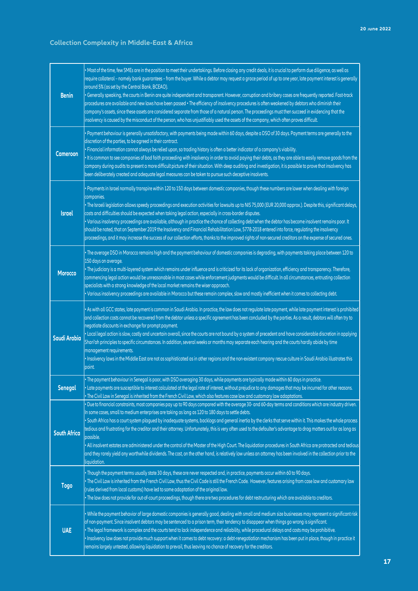### **Collection Complexity in Middle-East & Africa**

| <b>Benin</b>        | . Most of the time, few SMEs are in the position to meet their undertakings. Before closing any credit deals, it is crucial to perform due diligence, as well as<br>require collateral - namely bank guarantees - from the buyer. While a debtor may request a grace period of up to one year, late payment interest is generally<br>around 5% (as set by the Central Bank, BCEAO).<br>• Generally speaking, the courts in Benin are quite independent and transparent. However, corruption and bribery cases are frequently reported. Fast-track<br>procedures are available and new laws have been passed . The efficiency of insolvency procedures is often weakened by debtors who diminish their<br>company's assets, since these assets are considered separate from those of a natural person. The proceedings must then succeed in evidencing that the<br>insolvency is caused by the misconduct of the person, who has unjustifiably used the assets of the company, which often proves difficult. |
|---------------------|-------------------------------------------------------------------------------------------------------------------------------------------------------------------------------------------------------------------------------------------------------------------------------------------------------------------------------------------------------------------------------------------------------------------------------------------------------------------------------------------------------------------------------------------------------------------------------------------------------------------------------------------------------------------------------------------------------------------------------------------------------------------------------------------------------------------------------------------------------------------------------------------------------------------------------------------------------------------------------------------------------------|
| Cameroon            | • Payment behaviour is generally unsatisfactory, with payments being made within 60 days, despite a DSO of 30 days. Payment terms are generally to the<br>discretion of the parties, to be agreed in their contract.<br>· Financial information cannot always be relied upon, so trading history is often a better indicator of a company's viability.<br>. It is common to see companies of bad faith proceeding with insolvency in order to avoid paying their debts, as they are able to easily remove goods from the<br>company during audits to present a more difficult picture of their situation. With deep auditing and investigation, it is possible to prove that insolvency has<br>been deliberately created and adequate legal measures can be taken to pursue such deceptive insolvents.                                                                                                                                                                                                      |
| <b>Israel</b>       | • Payments in Israel normally transpire within 120 to 150 days between domestic companies, though these numbers are lower when dealing with foreign<br>companies.<br>· The Israeli legislation allows speedy proceedings and execution activities for lawsuits up to NIS 75,000 (EUR 20,000 approx.). Despite this, significant delays,<br>costs and difficulties should be expected when taking legal action, especially in cross-border disputes.<br>· Various insolvency proceedings are available, although in practice the chance of collecting debt when the debtor has become insolvent remains poor. It<br>should be noted, that on September 2019 the Insolvency and Financial Rehabilitation Law, 5778-2018 entered into force, regulating the insolvency<br>proceedings, and it may increase the success of our collection efforts, thanks to the improved rights of non-secured creditors on the expense of secured ones.                                                                       |
| <b>Morocco</b>      | • The average DSO in Morocco remains high and the payment behaviour of domestic companies is degrading, with payments taking place between 120 to<br>150 days on average.<br>• The judiciary is a multi-layered system which remains under influence and is criticized for its lack of organization, efficiency and transparency. Therefore,<br>commencing legal action would be unreasonable in most cases while enforcement judgments would be difficult. In all circumstances, entrusting collection<br>specialists with a strong knowledge of the local market remains the wiser approach.<br>· Various insolvency proceedings are available in Morocco but these remain complex, slow and mostly inefficient when it comes to collecting debt.                                                                                                                                                                                                                                                         |
| Saudi Arabia        | . As with all GCC states, late payment is common in Saudi Arabia. In practice, the law does not regulate late payment, while late payment interest is prohibited<br>and collection costs cannot be recovered from the debtor unless a specific agreement has been concluded by the parties. As a result, debtors will often try to<br>negotiate discounts in exchange for prompt payment.<br>• Local legal action is slow, costly and uncertain overall, since the courts are not bound by a system of precedent and have considerable discretion in applying<br>Shari'ah principles to specific circumstances. In addition, several weeks or months may separate each hearing and the courts hardly abide by time<br>management requirements.<br>. Insolvency laws in the Middle East are not as sophisticated as in other regions and the non-existent company rescue culture in Saudi Arabia illustrates this<br>point.                                                                                  |
| <b>Senegal</b>      | • The payment behaviour in Senegal is poor, with DSO averaging 30 days, while payments are typically made within 60 days in practice.<br>• Late payments are susceptible to interest calculated at the legal rate of interest, without prejudice to any damages that may be incurred for other reasons.<br>• The Civil Law in Senegal is inherited from the French Civil Law, which also features case law and customary law adaptations.                                                                                                                                                                                                                                                                                                                                                                                                                                                                                                                                                                   |
| <b>South Africa</b> | • Due to financial constraints, most companies pay up to 90 days compared with the average 30- and 60-day terms and conditions which are industry driven.<br>In some cases, small to medium enterprises are taking as long as 120 to 180 days to settle debts.<br>• South Africa has a court system plagued by inadequate systems, backlogs and general inertia by the clerks that serve within it. This makes the whole process<br>tedious and frustrating for the creditor and their attorney. Unfortunately, this is very often used to the defaulter's advantage to drag matters out for as long as<br>possible.<br>. All insolvent estates are administered under the control of the Master of the High Court. The liquidation procedures in South Africa are protracted and tedious<br>and they rarely yield any worthwhile dividends. The cost, on the other hand, is relatively low unless an attorney has been involved in the collection prior to the<br>liquidation.                             |
| <b>Togo</b>         | • Though the payment terms usually state 30 days, these are never respected and, in practice, payments occur within 60 to 90 days.<br>• The Civil Law is inherited from the French Civil Law, thus the Civil Code is still the French Code. However, features arising from case law and customary law<br>(rules derived from local customs) have led to some adaptation of the original law.<br>• The law does not provide for out-of-court proceedings, though there are two procedures for debt restructuring which are available to creditors.                                                                                                                                                                                                                                                                                                                                                                                                                                                           |
| <b>UAE</b>          | • While the payment behavior of large domestic companies is generally good, dealing with small and medium size businesses may represent a significant risk<br>of non-payment. Since insolvent debtors may be sentenced to a prison term, their tendency to disappear when things go wrong is significant.<br>• The legal framework is complex and the courts tend to lack independence and reliability, while procedural delays and costs may be prohibitive.<br>· Insolvency law does not provide much support when it comes to debt recovery: a debt-renegotiation mechanism has been put in place, though in practice it<br>remains largely untested, allowing liquidation to prevail, thus leaving no chance of recovery for the creditors.                                                                                                                                                                                                                                                             |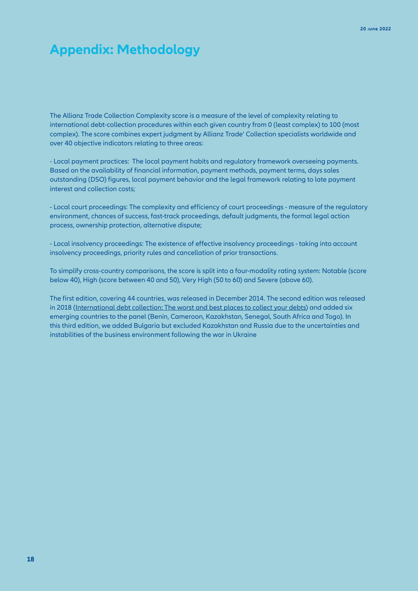### **Appendix: Methodology**

The Allianz Trade Collection Complexity score is a measure of the level of complexity relating to international debt-collection procedures within each given country from 0 (least complex) to 100 (most complex). The score combines expert judgment by Allianz Trade' Collection specialists worldwide and over 40 objective indicators relating to three areas:

- Local payment practices: The local payment habits and regulatory framework overseeing payments. Based on the availability of financial information, payment methods, payment terms, days sales outstanding (DSO) figures, local payment behavior and the legal framework relating to late payment interest and collection costs;

- Local court proceedings: The complexity and efficiency of court proceedings - measure of the regulatory environment, chances of success, fast-track proceedings, default judgments, the formal legal action process, ownership protection, alternative dispute;

- Local insolvency proceedings: The existence of effective insolvency proceedings - taking into account insolvency proceedings, priority rules and cancellation of prior transactions.

To simplify cross-country comparisons, the score is split into a four-modality rating system: Notable (score below 40), High (score between 40 and 50), Very High (50 to 60) and Severe (above 60).

The first edition, covering 44 countries, was released in December 2014. The second edition was released in 2018 ([International debt collection: The worst and best places to collect your debts\)](https://www.allianz-trade.com/en_global/news-insights/economic-insights/debt-collection-complexity.html) and added six emerging countries to the panel (Benin, Cameroon, Kazakhstan, Senegal, South Africa and Togo). In this third edition, we added Bulgaria but excluded Kazakhstan and Russia due to the uncertainties and instabilities of the business environment following the war in Ukraine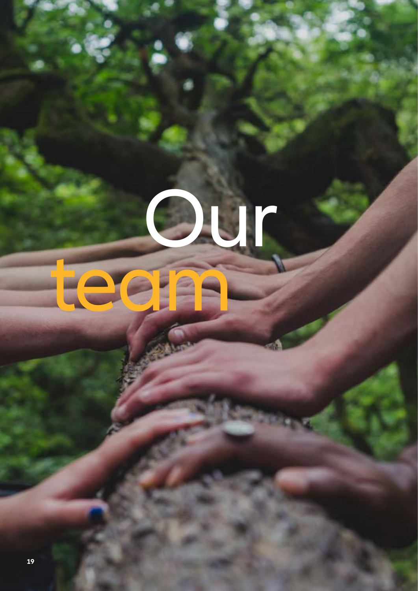# **Duran** team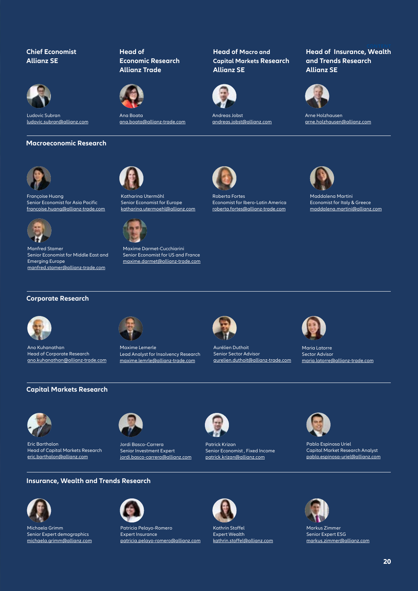### **Chief Economist Allianz SE**



Ludovic Subran [ludovic.subran@allianz.com](mailto:ludovic.subran%40allianz.com?subject=)

### **Macroeconomic Research**



Françoise Huang Senior Economist for Asia Pacific [francoise.huang@allianz-trade.com](mailto:francoise.huang%40allianz-trade.com?subject=)



Manfred Stamer Emerging Europe [manfred.stamer@allianz-trade.com](mailto:manfred.stamer%40allianz-trade.com?subject=)

### **Head of Economic Research Allianz Trade**



Ana Boata [ana.boata@allianz-trade.com](mailto:ana.boata%40allianz-trade.com?subject=)

Katharina Utermöhl Senior Economist for Europe [katharina.utermoehl@allianz.com](mailto:katharina.utermoehl%40allianz.com?subject=)

Maxime Darmet-Cucchiarini Senior Economist for US and France [maxime.darmet@allianz-trade.com](mailto:maxime.darmet%40allianz-trade.com?subject=)

### **Head of Macro and Capital Markets Research Allianz SE**



Andreas Jobst [andreas.jobst@allianz.com](mailto:andreas.jobst%40allianz.com?subject=)

Roberta Fortes Economist for Ibero-Latin America [roberta.fortes@allianz-trade.com](mailto:roberta.fortes%40allianz-trade.com?subject=)



**Allianz SE**

Arne Holzhausen [arne.holzhausen@allianz.com](mailto:arne.holzhausen%40allianz.com?subject=)

**and Trends Research**

**CONTENT Head of Insurance, Wealth** 



Maddalena Martini Economist for Italy & Greece maddalena.martini[@allianz.com](mailto:mailto:maddalena.martini%40allianz.com?subject=)





Senior Economist for Middle East and



Maxime Lemerle Lead Analyst for Insolvency Research [maxime.lemrle@allianz-trade.com](mailto:maxime.lemrle%40allianz-trade.com?subject=)



Aurélien Duthoit Senior Sector Advisor [aurelien.duthoit@allianz-trade.com](mailto:aurelien.duthoit%40allianz-trade.com?subject=)



Maria Latorre Sector Advisor maria.latorr[e@allianz-trade.com](mailto:maria.latorre%40allianz-trade.com?subject=)

### **Capital Markets Research**



Ano Kuhanathan

Head of Corporate Research [ano.kuhanathan@allianz-trade.com](mailto:ano.kuhanathan%40allianz-trade.com?subject=)

Eric Barthalon Head of Capital Markets Research [eric.barthalon@allianz.com](mailto:eric.barthalon%40allianz.com?subject=)



Jordi Basco-Carrera Senior Investment Expert [jordi.basco-carrera@](mailto:jordi.basco-carrera%40allianz.com?subject=)allianz.com



Patrick Krizan Senior Economist , Fixed Income

[patrick.krizan@allianz.com](mailto:patrick.krizan%40allianz.com?subject=)



Pablo Espinosa Uriel Capital Market Research Analyst [pablo.espinosa-uriel@allianz.com](mailto:pablo.espinosa-uriel%40allianz.com?subject=)

### **Insurance, Wealth and Trends Research**



Michaela Grimm Senior Expert demographics [michaela.grimm@allianz.com](mailto:michaela.grimm%40allianz.com?subject=)



Patricia Pelayo-Romero Expert Insurance [patricia.pelayo-romero@allianz.com](mailto:patricia.pelayo-romero%40allianz.com?subject=)



Kathrin Stoffel Expert Wealth kathrin.stoffel[@allianz.com](mailto:kathrin.stoffel%40allianz.com?subject=)





Markus Zimmer Senior Expert ESG [markus.zimmer@allianz.com](mailto:markus.zimmer%40allianz.com?subject=)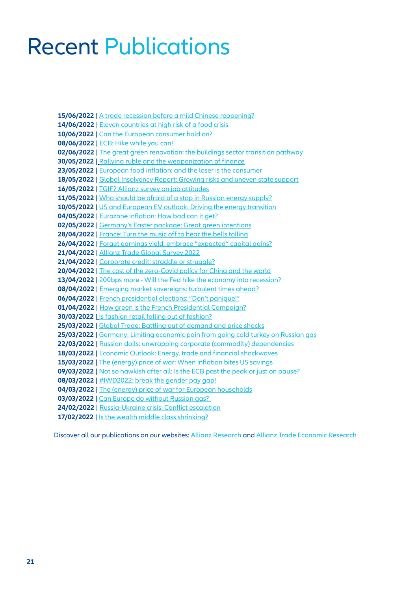## Recent Publications

**15/06/2022** | [A trade recession before a mild Chinese reopening?](https://www.allianz.com/en/economic_research/publications/specials_fmo/china-trade-recession.html) **14/06/2022** | [Eleven countries at high risk of a food crisis](https://www.allianz.com/en/economic_research/publications/specials_fmo/war-food-crisis.html) **10/06/2022** | [Can the European consumer hold on?](https://www.allianz.com/en/economic_research/publications/specials_fmo/consumer-europe-inflation.html) **08/06/2022** | [ECB: Hike while you can!](https://www.allianz.com/en/economic_research/publications/specials_fmo/ecb-rate-hike.html) **02/06/2022** [|](https://www.allianz.com/en/economic_research/publications/specials_fmo/2022_02_17_WealthMiddleClass.html) [The great green renovation: the buildings sector transition pathway](https://www.allianz.com/en/economic_research/publications/specials_fmo/buildings-sector-transition.html) **30/05/2022** [|](https://www.allianz.com/en/economic_research/publications/specials_fmo/food-prices-inflation.html) [Rallying ruble and the weaponization of finance](https://www.allianz.com/en/economic_research/publications/specials_fmo/russia-finance-ruble.html) **23/05/2022** | [European food inflation: and the loser is the consumer](https://www.allianz.com/en/economic_research/publications/specials_fmo/food-prices-inflation.html) **18/05/2022** | [Global Insolvency Report: Growing risks and uneven state support](https://www.allianz.com/en/economic_research/publications/specials_fmo/allianz-trade-insolvency-report.html) **16/05/2022** | [TGIF? Allianz survey on job attitudes](https://www.allianz.com/en/economic_research/publications/specials_fmo/allianz-job-attitudes-survey.html) **11/05/2022** | [Who should be afraid of a stop in Russian energy supply?](https://www.allianz.com/en/economic_research/publications/specials_fmo/crisis-russia-energy-supply.html) **10/05/2022** | [US and European EV outlook: Driving the energy transition](https://www.allianz.com/en/economic_research/publications/specials_fmo/2022_5_10_US_EU_EV-Outlook.html) **04/05/2022** | [Eurozone inflation: How bad can it get?](https://www.allianz.com/en/economic_research/publications/specials_fmo/2022_5_04_EurozoneInflation.html) **02/05/2022** | [Germany's Easter package: Great green intentions](https://www.allianz.com/en/economic_research/publications/specials_fmo/2022_5_02_Germany_Economy.html) **28/04/2022** | [France: Turn the music off to hear the bells tolling](https://www.allianz.com/en/economic_research/publications/specials_fmo/2022_4_28_French_Elections.html) **26/04/2022** | [Forget earnings yield, embrace "expected" capital gains?](https://www.allianz.com/en/economic_research/publications/specials_fmo/2022_4_26_EquityValuation.html) **21/04/2022** | [Allianz Trade Global Survey 2022](https://www.allianz.com/en/economic_research/publications/specials_fmo/2022_4_12_global_trade.html) **21/04/2022** | [Corporate credit: straddle or struggle?](https://www.allianz.com/en/economic_research/publications/specials_fmo/2022_4_21_CorporateCredit.html) **20/04/2022** | [The cost of the zero-Covid policy for China and the world](https://www.allianz.com/en/economic_research/publications/specials_fmo/2022_4_20_China_zero-Covid.html) **13/04/2022** | [200bps more - Will the Fed hike the economy into recession?](https://www.allianz.com/en/economic_research/publications/specials_fmo/2022_4_13_Fedhike_economy.html) **08/04/2022** | [Emerging market sovereigns: turbulent times ahead?](https://www.allianz.com/en/economic_research/publications/specials_fmo/2022_4_08_emerging-markets.html) **06/04/2022** | [French presidential elections: "Don't panique!"](https://www.allianz.com/en/economic_research/publications/specials_fmo/2022_4_06_France_Elections_part2.html) **01/04/2022** | [How green is the French Presidential Campaign?](https://www.allianz.com/en/economic_research/publications/specials_fmo/2022_4_01_France_Elections.html) **30/03/2022** | [Is fashion retail falling out of fashion?](https://www.allianz.com/en/economic_research/publications/specials_fmo/2022_3_30_Europe_FashionRetail.html) **25/03/2022** | [Global Trade: Battling out of demand and price shocks](https://www.allianz.com/en/economic_research/publications/specials_fmo/2022_03_25_GlobalTrade.html) **25/03/2022** | [Germany: Limiting economic pain from going cold turkey on Russian gas](https://www.allianz.com/en/economic_research/publications/specials_fmo/2022_3_25_Germany_RussianGas.html) **22/03/2022** [| Russian dolls: unwrapping corporate \(commodity\) dependencies](https://www.allianz.com/en/economic_research/publications/specials_fmo/2022_03_22_CorporateDependencies.html)  **18/03/2022** | [Economic Outlook: Energy, trade and financial shockwaves](https://www.allianz.com/en/economic_research/publications/specials_fmo/2022_03_18_EconomicOutlook.html) **15/03/2022** | [The \(energy\) price of war: When inflation bites US savings](https://www.allianz.com/en/economic_research/publications/specials_fmo/2022_03_15_USsavings.html) **09/03/2022** | [Not so hawkish after all: Is the ECB past the peak or just on pause?](https://www.allianz.com/en/economic_research/publications/specials_fmo/2022_03_09_ECB.html) **08/03/2022** | [#IWD2022: break the gender pay gap!](https://www.allianz.com/en/economic_research/publications/specials_fmo/2022_03_08_GenderPayGap.html) **04/03/2022** | [The \(energy\) price of war for European households](https://www.allianz.com/en/economic_research/publications/specials_fmo/2022_03_04_Energyinflation.html) **03/03/2022** | [Can Europe do without Russian gas?](https://www.allianz.com/en/economic_research/publications/specials_fmo/2022_03_03_EuropeRussianGas.html)  **24/02/2022** | [Russia-Ukraine crisis: Conflict escalation](https://www.allianz.com/en/economic_research/publications/specials_fmo/2022_02_24_RussiaUkraine.html) 17/02/2022 | [Is the wealth middle class shrinking?](https://www.allianz.com/en/economic_research/publications/specials_fmo/2022_02_17_WealthMiddleClass.html)

Discover all our publications on our websites: [Allianz Research](https://www.allianz.com/en/economic_research/publications.html) and [Allianz Trade Economic Research](https://www.allianz-trade.com/en_global/news-insights/economic-insights.html)